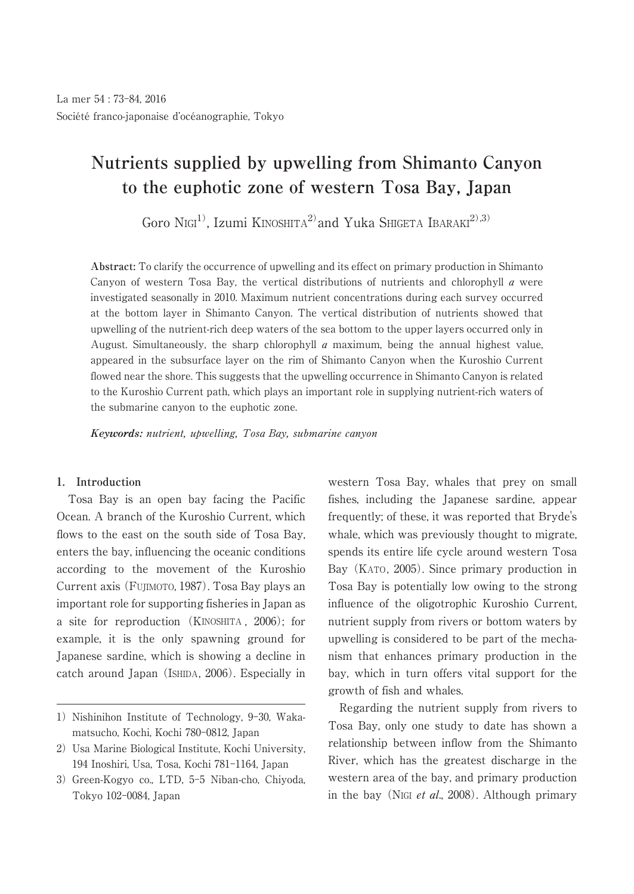# **Nutrients supplied by upwelling from Shimanto Canyon to the euphotic zone of western Tosa Bay, Japan**

Goro Nigi<sup>1</sup>, Izumi KINOSHITA<sup>2</sup> and Yuka SHIGETA IBARAKI<sup>2),3)</sup>

**Abstract:** To clarify the occurrence of upwelling and its effect on primary production in Shimanto Canyon of western Tosa Bay, the vertical distributions of nutrients and chlorophyll  $\alpha$  were investigated seasonally in 2010. Maximum nutrient concentrations during each survey occurred at the bottom layer in Shimanto Canyon. The vertical distribution of nutrients showed that upwelling of the nutrient-rich deep waters of the sea bottom to the upper layers occurred only in August. Simultaneously, the sharp chlorophyll  $\alpha$  maximum, being the annual highest value, appeared in the subsurface layer on the rim of Shimanto Canyon when the Kuroshio Current flowed near the shore. This suggests that the upwelling occurrence in Shimanto Canyon is related to the Kuroshio Current path, which plays an important role in supplying nutrient-rich waters of the submarine canyon to the euphotic zone.

**Keywords:** nutrient, upwelling, Tosa Bay, submarine canyon

## **1. Introduction**

Tosa Bay is an open bay facing the Pacific Ocean. A branch of the Kuroshio Current, which flows to the east on the south side of Tosa Bay, enters the bay, influencing the oceanic conditions according to the movement of the Kuroshio Current axis (FUJIMOTO, 1987). Tosa Bay plays an important role for supporting fisheries in Japan as a site for reproduction (KINOSHITA , 2006); for example, it is the only spawning ground for Japanese sardine, which is showing a decline in catch around Japan (ISHIDA, 2006). Especially in

- 2) Usa Marine Biological Institute, Kochi University, 194 Inoshiri, Usa, Tosa, Kochi 781-1164, Japan
- 3) Green-Kogyo co., LTD, 5-5 Niban-cho, Chiyoda, Tokyo 102-0084, Japan

western Tosa Bay, whales that prey on small fishes, including the Japanese sardine, appear frequently; of these, it was reported that Bryde's whale, which was previously thought to migrate, spends its entire life cycle around western Tosa Bay (KATO, 2005). Since primary production in Tosa Bay is potentially low owing to the strong influence of the oligotrophic Kuroshio Current, nutrient supply from rivers or bottom waters by upwelling is considered to be part of the mechanism that enhances primary production in the bay, which in turn offers vital support for the growth of fish and whales.

Regarding the nutrient supply from rivers to Tosa Bay, only one study to date has shown a relationship between inflow from the Shimanto River, which has the greatest discharge in the western area of the bay, and primary production in the bay (NIGI *et al.*, 2008). Although primary

<sup>1)</sup> Nishinihon Institute of Technology, 9-30, Wakamatsucho, Kochi, Kochi 780-0812, Japan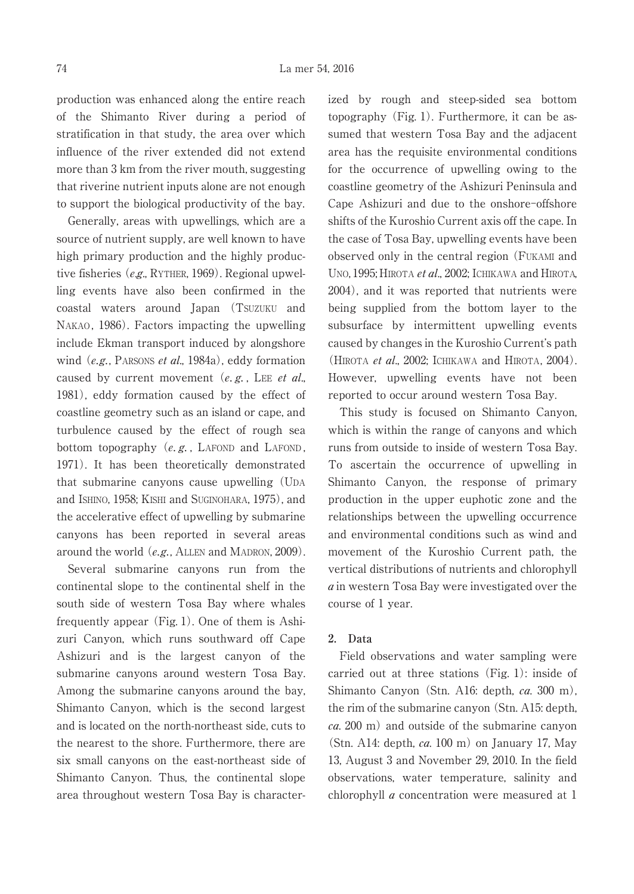production was enhanced along the entire reach of the Shimanto River during a period of stratification in that study, the area over which influence of the river extended did not extend more than 3 km from the river mouth, suggesting that riverine nutrient inputs alone are not enough to support the biological productivity of the bay.

Generally, areas with upwellings, which are a source of nutrient supply, are well known to have high primary production and the highly productive fisheries (e.g., RYTHER, 1969). Regional upwelling events have also been confirmed in the coastal waters around Japan (TSUZUKU and NAKAO, 1986). Factors impacting the upwelling include Ekman transport induced by alongshore wind  $(e.g.,$  PARSONS *et al.*, 1984a), eddy formation caused by current movement  $(e, g, E)$ . Lee et al. 1981), eddy formation caused by the effect of coastline geometry such as an island or cape, and turbulence caused by the effect of rough sea bottom topography  $(e, g, \text{ } L$ AFOND and LAFOND, 1971). It has been theoretically demonstrated that submarine canyons cause upwelling (UDA and ISHINO, 1958; KISHI and SUGINOHARA, 1975), and the accelerative effect of upwelling by submarine canyons has been reported in several areas around the world (e.g., ALLEN and MADRON, 2009).

Several submarine canyons run from the continental slope to the continental shelf in the south side of western Tosa Bay where whales frequently appear (Fig. 1). One of them is Ashizuri Canyon, which runs southward off Cape Ashizuri and is the largest canyon of the submarine canyons around western Tosa Bay. Among the submarine canyons around the bay, Shimanto Canyon, which is the second largest and is located on the north-northeast side, cuts to the nearest to the shore. Furthermore, there are six small canyons on the east-northeast side of Shimanto Canyon. Thus, the continental slope area throughout western Tosa Bay is characterized by rough and steep-sided sea bottom topography (Fig. 1). Furthermore, it can be assumed that western Tosa Bay and the adjacent area has the requisite environmental conditions for the occurrence of upwelling owing to the coastline geometry of the Ashizuri Peninsula and Cape Ashizuri and due to the onshore-offshore shifts of the Kuroshio Current axis off the cape. In the case of Tosa Bay, upwelling events have been observed only in the central region (FUKAMI and UNO, 1995; HIROTA et al., 2002; ICHIKAWA and HIROTA, 2004), and it was reported that nutrients were being supplied from the bottom layer to the subsurface by intermittent upwelling events caused by changes in the Kuroshio Current's path (HIROTA *et al.*, 2002; ICHIKAWA and HIROTA, 2004). However, upwelling events have not been reported to occur around western Tosa Bay.

This study is focused on Shimanto Canyon, which is within the range of canyons and which runs from outside to inside of western Tosa Bay. To ascertain the occurrence of upwelling in Shimanto Canyon, the response of primary production in the upper euphotic zone and the relationships between the upwelling occurrence and environmental conditions such as wind and movement of the Kuroshio Current path, the vertical distributions of nutrients and chlorophyll a in western Tosa Bay were investigated over the course of 1 year.

#### **2. Data**

Field observations and water sampling were carried out at three stations (Fig. 1): inside of Shimanto Canyon (Stn. A16: depth, ca. 300 m), the rim of the submarine canyon (Stn. A15: depth,  $ca. 200$  m) and outside of the submarine canyon (Stn. A14: depth,  $ca. 100$  m) on January 17, May 13, August 3 and November 29, 2010. In the field observations, water temperature, salinity and chlorophyll a concentration were measured at 1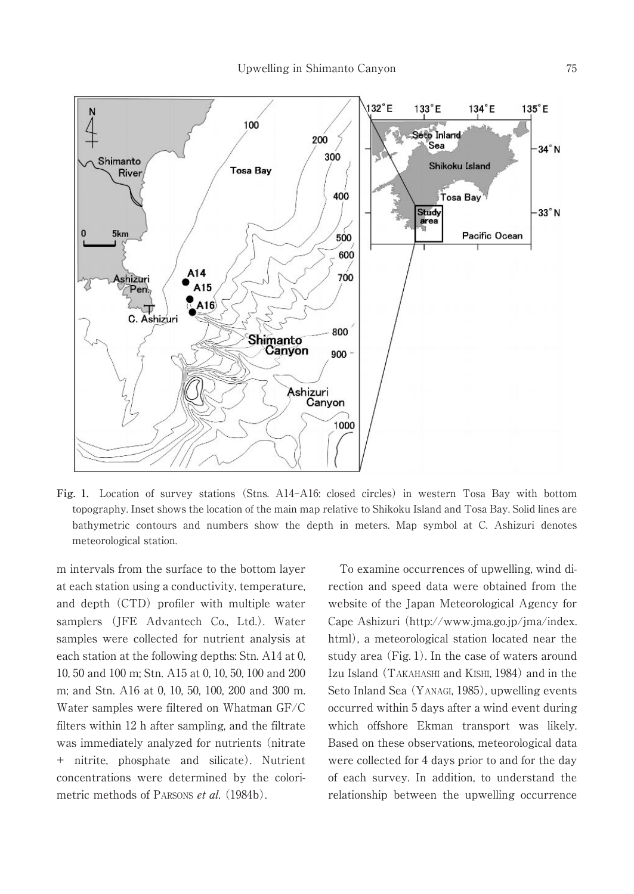

**Fig. 1.** Location of survey stations (Stns. A14-A16: closed circles) in western Tosa Bay with bottom topography. Inset shows the location of the main map relative to Shikoku Island and Tosa Bay. Solid lines are bathymetric contours and numbers show the depth in meters. Map symbol at C. Ashizuri denotes meteorological station.

m intervals from the surface to the bottom layer at each station using a conductivity, temperature, and depth (CTD) profiler with multiple water samplers (JFE Advantech Co., Ltd.). Water samples were collected for nutrient analysis at each station at the following depths: Stn. A14 at 0, 10, 50 and 100 m; Stn. A15 at 0, 10, 50, 100 and 200 m; and Stn. A16 at 0, 10, 50, 100, 200 and 300 m. Water samples were filtered on Whatman GF/C filters within 12 h after sampling, and the filtrate was immediately analyzed for nutrients (nitrate + nitrite, phosphate and silicate). Nutrient concentrations were determined by the colorimetric methods of PARSONS *et al.* (1984b).

To examine occurrences of upwelling, wind direction and speed data were obtained from the website of the Japan Meteorological Agency for Cape Ashizuri (http://www.jma.go.jp/jma/index. html), a meteorological station located near the study area (Fig. 1). In the case of waters around Izu Island (TAKAHASHI and KISHI, 1984) and in the Seto Inland Sea (YANAGI, 1985), upwelling events occurred within 5 days after a wind event during which offshore Ekman transport was likely. Based on these observations, meteorological data were collected for 4 days prior to and for the day of each survey. In addition, to understand the relationship between the upwelling occurrence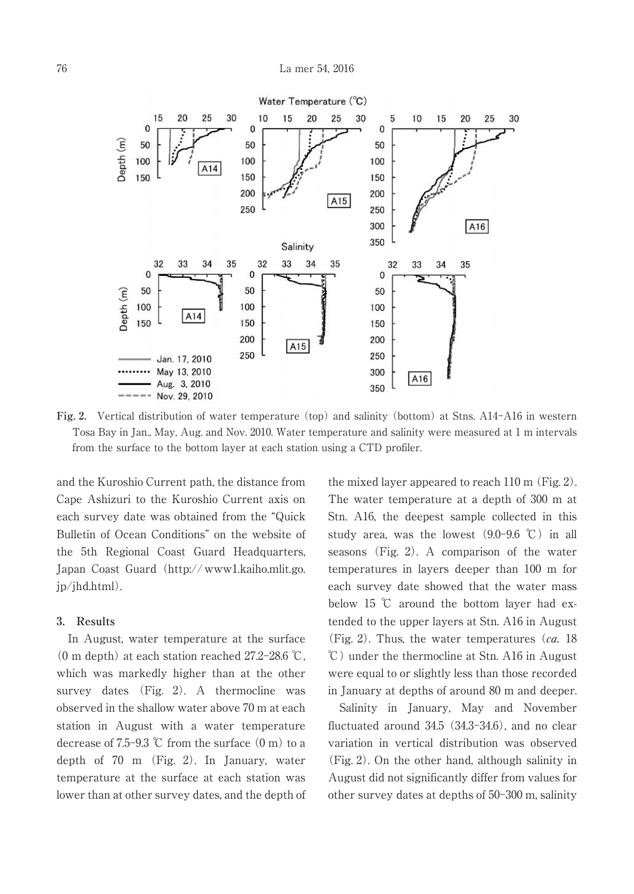

**Fig. 2.** Vertical distribution of water temperature (top) and salinity (bottom) at Stns. A14-A16 in western Tosa Bay in Jan., May, Aug. and Nov. 2010. Water temperature and salinity were measured at 1 m intervals from the surface to the bottom layer at each station using a CTD profiler.

and the Kuroshio Current path, the distance from Cape Ashizuri to the Kuroshio Current axis on each survey date was obtained from the "Quick Bulletin of Ocean Conditions" on the website of the 5th Regional Coast Guard Headquarters, Japan Coast Guard (http:// www1.kaiho.mlit.go. jp/jhd.html).

## **3. Results**

In August, water temperature at the surface (0 m depth) at each station reached 27.2-28.6 ℃, which was markedly higher than at the other survey dates (Fig. 2). A thermocline was observed in the shallow water above 70 m at each station in August with a water temperature decrease of 7.5-9.3  $\degree$ C from the surface  $(0 \text{ m})$  to a depth of 70 m (Fig. 2). In January, water temperature at the surface at each station was lower than at other survey dates, and the depth of

the mixed layer appeared to reach 110 m (Fig. 2). The water temperature at a depth of 300 m at Stn. A16, the deepest sample collected in this study area, was the lowest  $(9.0-9.6 \degree C)$  in all seasons (Fig. 2). A comparison of the water temperatures in layers deeper than 100 m for each survey date showed that the water mass below 15 ℃ around the bottom layer had extended to the upper layers at Stn. A16 in August (Fig. 2). Thus, the water temperatures  $(ca. 18$ ℃) under the thermocline at Stn. A16 in August were equal to or slightly less than those recorded in January at depths of around 80 m and deeper.

Salinity in January, May and November fluctuated around 34.5 (34.3-34.6), and no clear variation in vertical distribution was observed (Fig. 2). On the other hand, although salinity in August did not significantly differ from values for other survey dates at depths of 50-300 m, salinity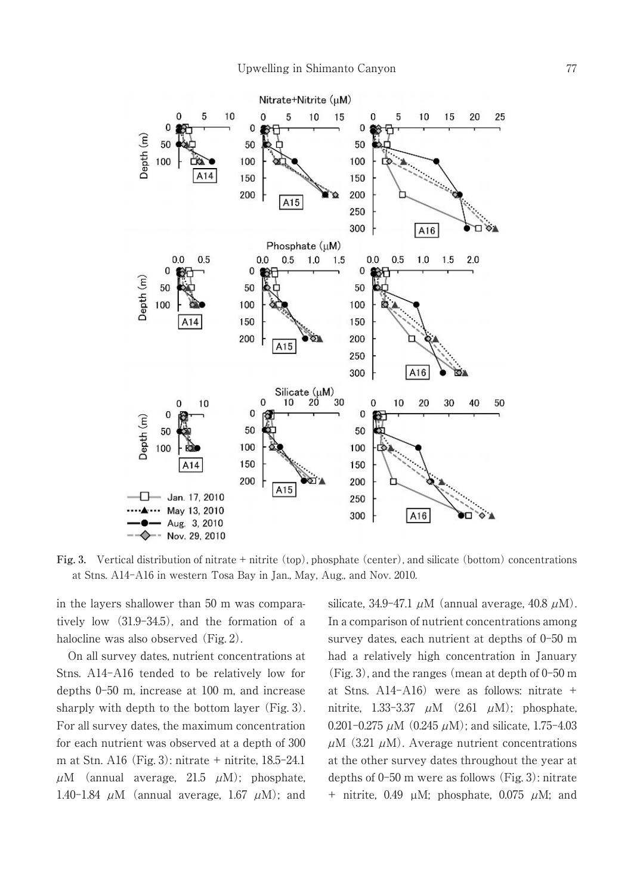

**Fig. 3.** Vertical distribution of nitrate + nitrite (top), phosphate (center), and silicate (bottom) concentrations at Stns. A14-A16 in western Tosa Bay in Jan., May, Aug., and Nov. 2010.

in the layers shallower than 50 m was comparatively low (31.9-34.5), and the formation of a halocline was also observed (Fig. 2).

On all survey dates, nutrient concentrations at Stns. A14-A16 tended to be relatively low for depths 0-50 m, increase at 100 m, and increase sharply with depth to the bottom layer (Fig. 3). For all survey dates, the maximum concentration for each nutrient was observed at a depth of 300 m at Stn. A16 (Fig. 3): nitrate + nitrite, 18.5-24.1  $\mu$ M (annual average, 21.5  $\mu$ M); phosphate, 1.40-1.84  $\mu$ M (annual average, 1.67  $\mu$ M); and silicate, 34.9–47.1  $\mu$ M (annual average, 40.8  $\mu$ M). In a comparison of nutrient concentrations among survey dates, each nutrient at depths of 0-50 m had a relatively high concentration in January (Fig. 3), and the ranges (mean at depth of 0-50 m at Stns. A14-A16) were as follows: nitrate + nitrite, 1.33-3.37  $\mu$ M (2.61  $\mu$ M); phosphate, 0.201-0.275  $\mu$ M (0.245  $\mu$ M); and silicate, 1.75-4.03  $\mu$ M (3.21  $\mu$ M). Average nutrient concentrations at the other survey dates throughout the year at depths of 0-50 m were as follows (Fig. 3): nitrate + nitrite, 0.49  $\mu$ M; phosphate, 0.075  $\mu$ M; and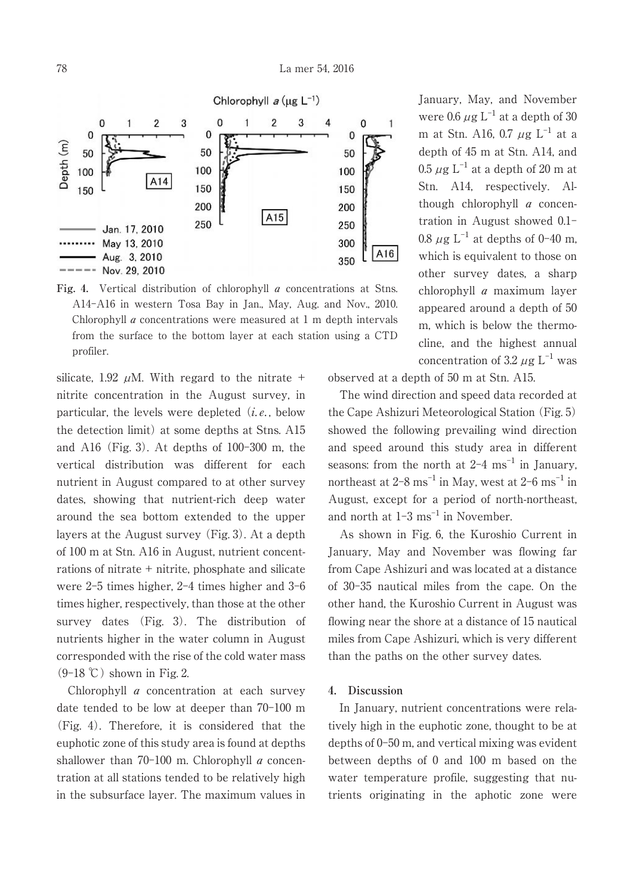

**Fig. 4.** Vertical distribution of chlorophyll a concentrations at Stns. A14-A16 in western Tosa Bay in Jan., May, Aug. and Nov., 2010. Chlorophyll a concentrations were measured at 1 m depth intervals from the surface to the bottom layer at each station using a CTD profiler.

silicate, 1.92  $\mu$ M. With regard to the nitrate + nitrite concentration in the August survey, in particular, the levels were depleted  $(i.e., below)$ the detection limit) at some depths at Stns. A15 and A16 (Fig. 3). At depths of 100-300 m, the vertical distribution was different for each nutrient in August compared to at other survey dates, showing that nutrient-rich deep water around the sea bottom extended to the upper layers at the August survey (Fig. 3). At a depth of 100 m at Stn. A16 in August, nutrient concentrations of nitrate + nitrite, phosphate and silicate were 2-5 times higher, 2-4 times higher and 3-6 times higher, respectively, than those at the other survey dates (Fig. 3). The distribution of nutrients higher in the water column in August corresponded with the rise of the cold water mass  $(9-18 \text{ °C})$  shown in Fig. 2.

Chlorophyll a concentration at each survey date tended to be low at deeper than 70-100 m (Fig. 4). Therefore, it is considered that the euphotic zone of this study area is found at depths shallower than  $70-100$  m. Chlorophyll  $\alpha$  concentration at all stations tended to be relatively high in the subsurface layer. The maximum values in January, May, and November were 0.6  $\mu$ g L<sup>-1</sup> at a depth of 30 m at Stn. A16, 0.7  $\mu$ g L $^{-1}$  at a depth of 45 m at Stn. A14, and  $0.5~\mu{\rm g}~{\rm L}^{-1}$  at a depth of  $20~{\rm m}$  at Stn. A14, respectively. Although chlorophyll a concentration in August showed 0.1- 0.8  $\mu$ g L<sup>-1</sup> at depths of 0-40 m, which is equivalent to those on other survey dates, a sharp chlorophyll a maximum layer appeared around a depth of 50 m, which is below the thermocline, and the highest annual concentration of 3.2  $\mu$ g L<sup>-1</sup> was

observed at a depth of 50 m at Stn. A15.

The wind direction and speed data recorded at the Cape Ashizuri Meteorological Station (Fig. 5) showed the following prevailing wind direction and speed around this study area in different seasons: from the north at  $2\n-4$   $\mathrm{ms}^{-1}$  in January, northeast at 2–8  $\mathrm{ms}^{-1}$  in May, west at 2–6  $\mathrm{ms}^{-1}$  in August, except for a period of north-northeast, and north at  $1-3$  ms<sup> $-1$ </sup> in November.

As shown in Fig. 6, the Kuroshio Current in January, May and November was flowing far from Cape Ashizuri and was located at a distance of 30-35 nautical miles from the cape. On the other hand, the Kuroshio Current in August was flowing near the shore at a distance of 15 nautical miles from Cape Ashizuri, which is very different than the paths on the other survey dates.

### **4. Discussion**

In January, nutrient concentrations were relatively high in the euphotic zone, thought to be at depths of 0-50 m, and vertical mixing was evident between depths of 0 and 100 m based on the water temperature profile, suggesting that nutrients originating in the aphotic zone were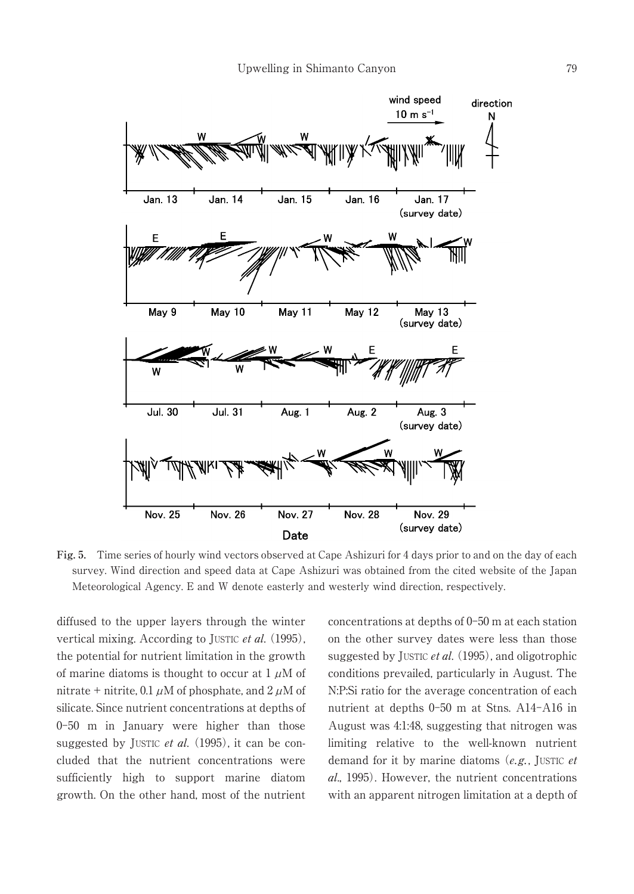

**Fig. 5.** Time series of hourly wind vectors observed at Cape Ashizuri for 4 days prior to and on the day of each survey. Wind direction and speed data at Cape Ashizuri was obtained from the cited website of the Japan Meteorological Agency. E and W denote easterly and westerly wind direction, respectively.

diffused to the upper layers through the winter vertical mixing. According to JUSTIC et al. (1995), the potential for nutrient limitation in the growth of marine diatoms is thought to occur at  $1 \mu M$  of nitrate + nitrite, 0.1  $\mu$ M of phosphate, and 2  $\mu$ M of silicate. Since nutrient concentrations at depths of 0-50 m in January were higher than those suggested by JUSTIC et al.  $(1995)$ , it can be concluded that the nutrient concentrations were sufficiently high to support marine diatom growth. On the other hand, most of the nutrient concentrations at depths of 0-50 m at each station on the other survey dates were less than those suggested by JUSTIC *et al.*  $(1995)$ , and oligotrophic conditions prevailed, particularly in August. The N:P:Si ratio for the average concentration of each nutrient at depths 0-50 m at Stns. A14-A16 in August was 4:1:48, suggesting that nitrogen was limiting relative to the well-known nutrient demand for it by marine diatoms  $(e.g.,$  JUSTIC  $e$ t al., 1995). However, the nutrient concentrations with an apparent nitrogen limitation at a depth of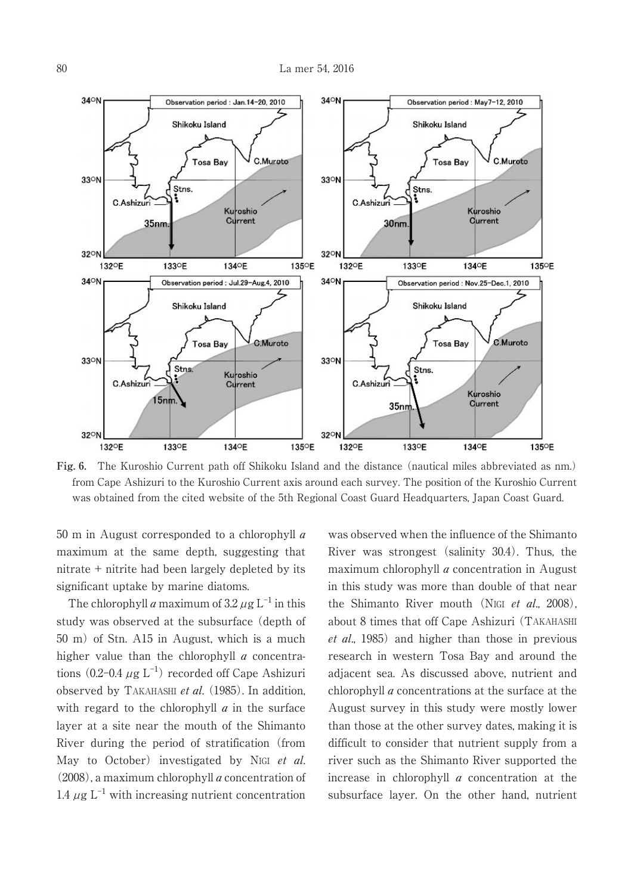

**Fig. 6.** The Kuroshio Current path off Shikoku Island and the distance (nautical miles abbreviated as nm.) from Cape Ashizuri to the Kuroshio Current axis around each survey. The position of the Kuroshio Current was obtained from the cited website of the 5th Regional Coast Guard Headquarters, Japan Coast Guard.

50 m in August corresponded to a chlorophyll  $\alpha$ maximum at the same depth, suggesting that nitrate + nitrite had been largely depleted by its significant uptake by marine diatoms.

The chlorophyll *a* maximum of  $3.2 \mu$ g L<sup>-1</sup> in this study was observed at the subsurface (depth of 50 m) of Stn. A15 in August, which is a much higher value than the chlorophyll  $a$  concentrations  $(0.2-0.4 \ \mu g \ L^{-1})$  recorded off Cape Ashizuri observed by TAKAHASHI et al.  $(1985)$ . In addition, with regard to the chlorophyll  $\alpha$  in the surface layer at a site near the mouth of the Shimanto River during the period of stratification (from May to October) investigated by NIGI et al. (2008), a maximum chlorophyll a concentration of 1.4  $\mu$ g L<sup>-1</sup> with increasing nutrient concentration

was observed when the influence of the Shimanto River was strongest (salinity 30.4). Thus, the maximum chlorophyll a concentration in August in this study was more than double of that near the Shimanto River mouth (NIGI et al., 2008), about 8 times that off Cape Ashizuri (TAKAHASHI et al., 1985) and higher than those in previous research in western Tosa Bay and around the adjacent sea. As discussed above, nutrient and chlorophyll a concentrations at the surface at the August survey in this study were mostly lower than those at the other survey dates, making it is difficult to consider that nutrient supply from a river such as the Shimanto River supported the increase in chlorophyll a concentration at the subsurface layer. On the other hand, nutrient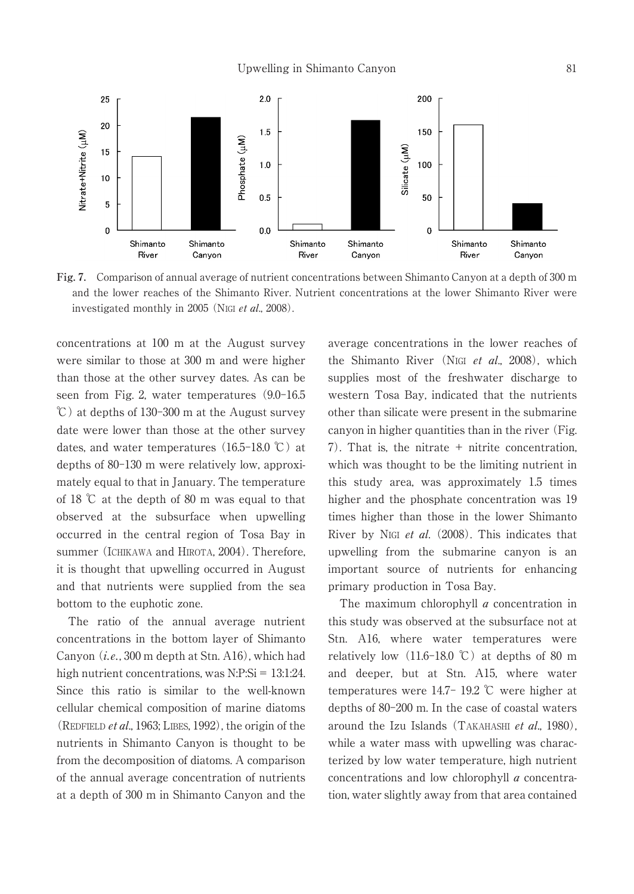

**Fig. 7.** Comparison of annual average of nutrient concentrations between Shimanto Canyon at a depth of 300 m and the lower reaches of the Shimanto River. Nutrient concentrations at the lower Shimanto River were investigated monthly in 2005 (NIGI et al., 2008).

concentrations at 100 m at the August survey were similar to those at 300 m and were higher than those at the other survey dates. As can be seen from Fig. 2, water temperatures (9.0-16.5 ℃) at depths of 130-300 m at the August survey date were lower than those at the other survey dates, and water temperatures  $(16.5-18.0 \degree C)$  at depths of 80-130 m were relatively low, approximately equal to that in January. The temperature of 18 ℃ at the depth of 80 m was equal to that observed at the subsurface when upwelling occurred in the central region of Tosa Bay in summer (ICHIKAWA and HIROTA, 2004). Therefore, it is thought that upwelling occurred in August and that nutrients were supplied from the sea bottom to the euphotic zone.

The ratio of the annual average nutrient concentrations in the bottom layer of Shimanto Canyon  $(i.e., 300 \text{ m depth at Stn. } A16)$ , which had high nutrient concentrations, was N:P:Si = 13:1:24. Since this ratio is similar to the well-known cellular chemical composition of marine diatoms (REDFIELD *et al.*, 1963; LIBES, 1992), the origin of the nutrients in Shimanto Canyon is thought to be from the decomposition of diatoms. A comparison of the annual average concentration of nutrients at a depth of 300 m in Shimanto Canyon and the average concentrations in the lower reaches of the Shimanto River (NIGI et al., 2008), which supplies most of the freshwater discharge to western Tosa Bay, indicated that the nutrients other than silicate were present in the submarine canyon in higher quantities than in the river (Fig. 7). That is, the nitrate  $+$  nitrite concentration. which was thought to be the limiting nutrient in this study area, was approximately 1.5 times higher and the phosphate concentration was 19 times higher than those in the lower Shimanto River by NIGI et al. (2008). This indicates that upwelling from the submarine canyon is an important source of nutrients for enhancing primary production in Tosa Bay.

The maximum chlorophyll  $a$  concentration in this study was observed at the subsurface not at Stn. A16, where water temperatures were relatively low  $(11.6-18.0 \degree\text{C})$  at depths of 80 m and deeper, but at Stn. A15, where water temperatures were 14.7- 19.2 ℃ were higher at depths of 80-200 m. In the case of coastal waters around the Izu Islands (TAKAHASHI et al., 1980), while a water mass with upwelling was characterized by low water temperature, high nutrient concentrations and low chlorophyll a concentration, water slightly away from that area contained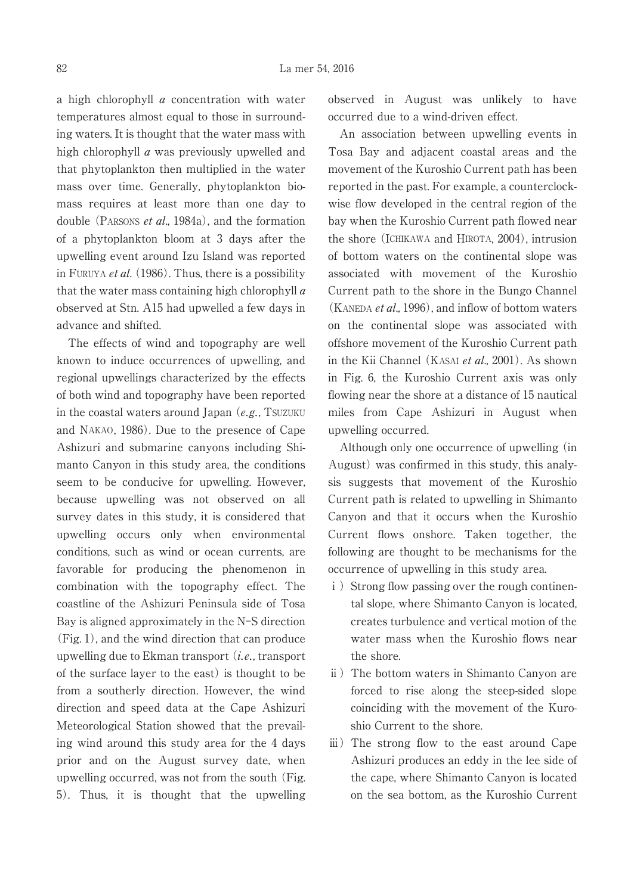a high chlorophyll  $a$  concentration with water temperatures almost equal to those in surrounding waters. It is thought that the water mass with high chlorophyll a was previously upwelled and that phytoplankton then multiplied in the water mass over time. Generally, phytoplankton biomass requires at least more than one day to double (PARSONS et al., 1984a), and the formation of a phytoplankton bloom at 3 days after the upwelling event around Izu Island was reported in FURUYA *et al.* (1986). Thus, there is a possibility that the water mass containing high chlorophyll  $\alpha$ observed at Stn. A15 had upwelled a few days in advance and shifted.

The effects of wind and topography are well known to induce occurrences of upwelling, and regional upwellings characterized by the effects of both wind and topography have been reported in the coastal waters around Japan  $(e.g., TSUZUKU)$ and NAKAO, 1986). Due to the presence of Cape Ashizuri and submarine canyons including Shimanto Canyon in this study area, the conditions seem to be conducive for upwelling. However, because upwelling was not observed on all survey dates in this study, it is considered that upwelling occurs only when environmental conditions, such as wind or ocean currents, are favorable for producing the phenomenon in combination with the topography effect. The coastline of the Ashizuri Peninsula side of Tosa Bay is aligned approximately in the N-S direction (Fig. 1), and the wind direction that can produce upwelling due to Ekman transport  $(i.e., transport)$ of the surface layer to the east) is thought to be from a southerly direction. However, the wind direction and speed data at the Cape Ashizuri Meteorological Station showed that the prevailing wind around this study area for the 4 days prior and on the August survey date, when upwelling occurred, was not from the south (Fig. 5). Thus, it is thought that the upwelling observed in August was unlikely to have occurred due to a wind-driven effect.

An association between upwelling events in Tosa Bay and adjacent coastal areas and the movement of the Kuroshio Current path has been reported in the past. For example, a counterclockwise flow developed in the central region of the bay when the Kuroshio Current path flowed near the shore (ICHIKAWA and HIROTA, 2004), intrusion of bottom waters on the continental slope was associated with movement of the Kuroshio Current path to the shore in the Bungo Channel (KANEDA et al., 1996), and inflow of bottom waters on the continental slope was associated with offshore movement of the Kuroshio Current path in the Kii Channel (KASAI *et al.*, 2001). As shown in Fig. 6, the Kuroshio Current axis was only flowing near the shore at a distance of 15 nautical miles from Cape Ashizuri in August when upwelling occurred.

Although only one occurrence of upwelling (in August) was confirmed in this study, this analysis suggests that movement of the Kuroshio Current path is related to upwelling in Shimanto Canyon and that it occurs when the Kuroshio Current flows onshore. Taken together, the following are thought to be mechanisms for the occurrence of upwelling in this study area.

- i) Strong flow passing over the rough continental slope, where Shimanto Canyon is located, creates turbulence and vertical motion of the water mass when the Kuroshio flows near the shore.
- ⅱ) The bottom waters in Shimanto Canyon are forced to rise along the steep-sided slope coinciding with the movement of the Kuroshio Current to the shore.
- ⅲ) The strong flow to the east around Cape Ashizuri produces an eddy in the lee side of the cape, where Shimanto Canyon is located on the sea bottom, as the Kuroshio Current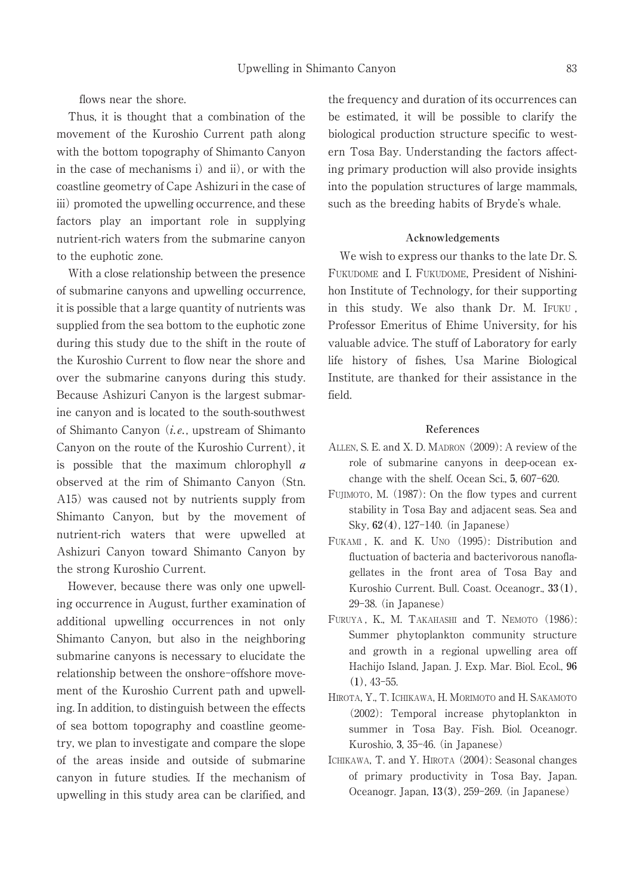flows near the shore.

Thus, it is thought that a combination of the movement of the Kuroshio Current path along with the bottom topography of Shimanto Canyon in the case of mechanisms i) and ii), or with the coastline geometry of Cape Ashizuri in the case of iii) promoted the upwelling occurrence, and these factors play an important role in supplying nutrient-rich waters from the submarine canyon to the euphotic zone.

With a close relationship between the presence of submarine canyons and upwelling occurrence, it is possible that a large quantity of nutrients was supplied from the sea bottom to the euphotic zone during this study due to the shift in the route of the Kuroshio Current to flow near the shore and over the submarine canyons during this study. Because Ashizuri Canyon is the largest submarine canyon and is located to the south-southwest of Shimanto Canyon  $(i.e.,$  upstream of Shimanto Canyon on the route of the Kuroshio Current), it is possible that the maximum chlorophyll  $a$ observed at the rim of Shimanto Canyon (Stn. A15) was caused not by nutrients supply from Shimanto Canyon, but by the movement of nutrient-rich waters that were upwelled at Ashizuri Canyon toward Shimanto Canyon by the strong Kuroshio Current.

However, because there was only one upwelling occurrence in August, further examination of additional upwelling occurrences in not only Shimanto Canyon, but also in the neighboring submarine canyons is necessary to elucidate the relationship between the onshore-offshore movement of the Kuroshio Current path and upwelling. In addition, to distinguish between the effects of sea bottom topography and coastline geometry, we plan to investigate and compare the slope of the areas inside and outside of submarine canyon in future studies. If the mechanism of upwelling in this study area can be clarified, and the frequency and duration of its occurrences can be estimated, it will be possible to clarify the biological production structure specific to western Tosa Bay. Understanding the factors affecting primary production will also provide insights into the population structures of large mammals, such as the breeding habits of Bryde's whale.

## **Acknowledgements**

We wish to express our thanks to the late Dr. S. FUKUDOME and I. FUKUDOME, President of Nishinihon Institute of Technology, for their supporting in this study. We also thank Dr. M. IFUKU , Professor Emeritus of Ehime University, for his valuable advice. The stuff of Laboratory for early life history of fishes, Usa Marine Biological Institute, are thanked for their assistance in the field.

## **References**

- ALLEN, S. E. and X. D. MADRON (2009): A review of the role of submarine canyons in deep-ocean exchange with the shelf. Ocean Sci., **5**, 607-620.
- FUJIMOTO, M. (1987): On the flow types and current stability in Tosa Bay and adjacent seas. Sea and Sky, **62(4)**, 127-140. (in Japanese)
- FUKAMI , K. and K. UNO (1995): Distribution and fluctuation of bacteria and bacterivorous nanoflagellates in the front area of Tosa Bay and Kuroshio Current. Bull. Coast. Oceanogr., **33(1)**, 29-38. (in Japanese)
- FURUYA, K., M. TAKAHASHI and T. NEMOTO (1986): Summer phytoplankton community structure and growth in a regional upwelling area off Hachijo Island, Japan. J. Exp. Mar. Biol. Ecol., **96 (1)**, 43-55.
- HIROTA, Y., T. ICHIKAWA, H. MORIMOTO and H. SAKAMOTO (2002): Temporal increase phytoplankton in summer in Tosa Bay. Fish. Biol. Oceanogr. Kuroshio, **3**, 35-46. (in Japanese)
- ICHIKAWA, T. and Y. HIROTA (2004): Seasonal changes of primary productivity in Tosa Bay, Japan. Oceanogr. Japan, **13(3)**, 259-269. (in Japanese)